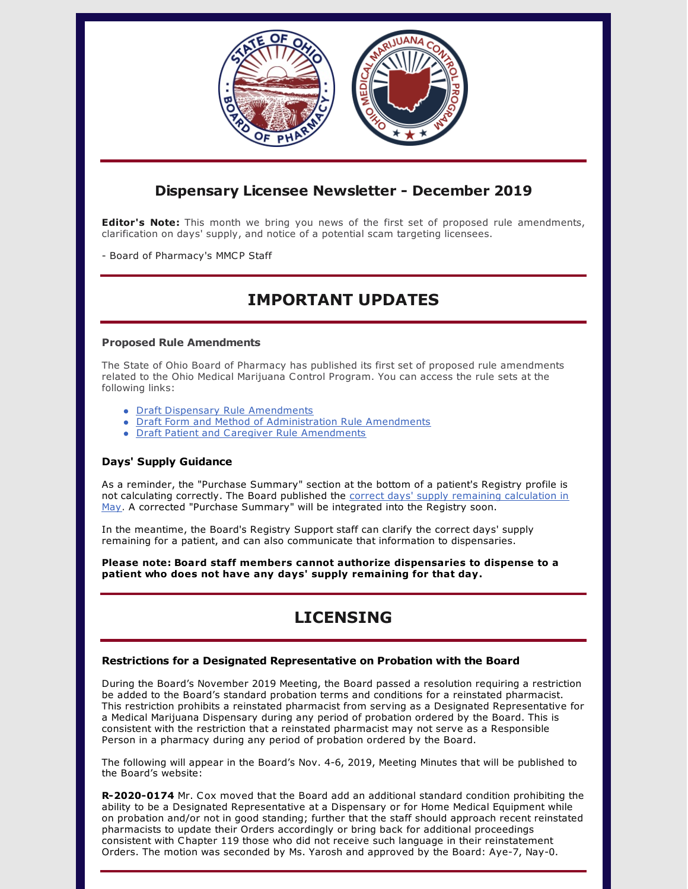

## **Dispensary Licensee Newsletter - December 2019**

**Editor's Note:** This month we bring you news of the first set of proposed rule amendments, clarification on days' supply, and notice of a potential scam targeting licensees.

- Board of Pharmacy's MMCP Staff

# **IMPORTANT UPDATES**

### **Proposed Rule Amendments**

The State of Ohio Board of Pharmacy has published its first set of proposed rule amendments related to the Ohio Medical Marijuana Control Program. You can access the rule sets at the following links:

- Draft Dispensary Rule [Amendments](https://www.medicalmarijuana.ohio.gov/Documents/advisory-committee/December 2019/Draft Dispensary Rule Amendments.pdf)
- Draft Form and Method of [Administration](https://www.medicalmarijuana.ohio.gov/Documents/advisory-committee/December 2019/Draft Form and Method of Administration Rule Amendments.pdf) Rule Amendments
- Draft Patient and Caregiver Rule [Amendments](https://www.medicalmarijuana.ohio.gov/Documents/advisory-committee/December 2019/Draft Patient and Caregiver Rule Amendments.pdf)

## **Days' Supply Guidance**

As a reminder, the "Purchase Summary" section at the bottom of a patient's Registry profile is not calculating correctly. The Board published the correct days' supply remaining [calculation](https://www.medicalmarijuana.ohio.gov/Documents/LicenseeResources/Dispensary Licensee Resources/DISPENSARY TECHNOLOGY & SYSTEMS/Quick Reference Guide - Remaining Days Supply Calculator.pdf) in May. A corrected "Purchase Summary" will be integrated into the Registry soon.

In the meantime, the Board's Registry Support staff can clarify the correct days' supply remaining for a patient, and can also communicate that information to dispensaries.

**Please note: Board staff members cannot authorize dispensaries to dispense to a patient who does not have any days' supply remaining for that day.**

# **LICENSING**

## **Restrictions for a Designated Representative on Probation with the Board**

During the Board's November 2019 Meeting, the Board passed a resolution requiring a restriction be added to the Board's standard probation terms and conditions for a reinstated pharmacist. This restriction prohibits a reinstated pharmacist from serving as a Designated Representative for a Medical Marijuana Dispensary during any period of probation ordered by the Board. This is consistent with the restriction that a reinstated pharmacist may not serve as a Responsible Person in a pharmacy during any period of probation ordered by the Board.

The following will appear in the Board's Nov. 4-6, 2019, Meeting Minutes that will be published to the Board's website:

**R-2020-0174** Mr. Cox moved that the Board add an additional standard condition prohibiting the ability to be a Designated Representative at a Dispensary or for Home Medical Equipment while on probation and/or not in good standing; further that the staff should approach recent reinstated pharmacists to update their Orders accordingly or bring back for additional proceedings consistent with Chapter 119 those who did not receive such language in their reinstatement Orders. The motion was seconded by Ms. Yarosh and approved by the Board: Aye-7, Nay-0.